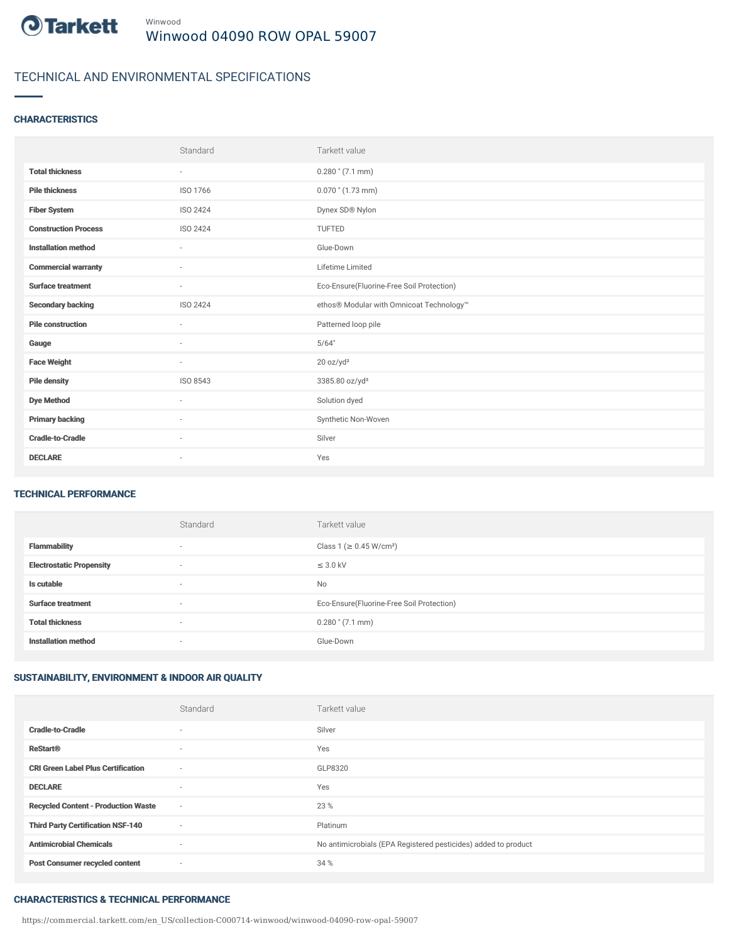

# TECHNICAL AND ENVIRONMENTAL SPECIFICATIONS

#### **CHARACTERISTICS**

|                             | Standard                 | Tarkett value                             |
|-----------------------------|--------------------------|-------------------------------------------|
| <b>Total thickness</b>      | ٠                        | $0.280$ " $(7.1$ mm)                      |
| <b>Pile thickness</b>       | ISO 1766                 | $0.070$ " $(1.73$ mm)                     |
| <b>Fiber System</b>         | ISO 2424                 | Dynex SD® Nylon                           |
| <b>Construction Process</b> | ISO 2424                 | TUFTED                                    |
| <b>Installation method</b>  | $\sim$                   | Glue-Down                                 |
| <b>Commercial warranty</b>  | ٠                        | Lifetime Limited                          |
| <b>Surface treatment</b>    | $\sim$                   | Eco-Ensure(Fluorine-Free Soil Protection) |
| <b>Secondary backing</b>    | ISO 2424                 | ethos® Modular with Omnicoat Technology™  |
| <b>Pile construction</b>    | $\overline{\phantom{a}}$ | Patterned loop pile                       |
| Gauge                       | ٠                        | 5/64"                                     |
| <b>Face Weight</b>          | $\sim$                   | 20 oz/yd <sup>2</sup>                     |
| <b>Pile density</b>         | ISO 8543                 | 3385.80 oz/yd <sup>3</sup>                |
| <b>Dye Method</b>           | ٠                        | Solution dyed                             |
| <b>Primary backing</b>      | ٠                        | Synthetic Non-Woven                       |
| <b>Cradle-to-Cradle</b>     | $\overline{\phantom{a}}$ | Silver                                    |
| <b>DECLARE</b>              | $\overline{\phantom{a}}$ | Yes                                       |

#### TECHNICAL PERFORMANCE

|                                 | Standard                 | Tarkett value                             |
|---------------------------------|--------------------------|-------------------------------------------|
| <b>Flammability</b>             | $\overline{\phantom{a}}$ | Class 1 (≥ 0.45 W/cm <sup>2</sup> )       |
| <b>Electrostatic Propensity</b> | $\overline{\phantom{a}}$ | $\leq$ 3.0 kV                             |
| Is cutable                      | $\overline{\phantom{a}}$ | <b>No</b>                                 |
| <b>Surface treatment</b>        | $\overline{\phantom{a}}$ | Eco-Ensure(Fluorine-Free Soil Protection) |
| <b>Total thickness</b>          | $\overline{\phantom{a}}$ | $0.280$ " $(7.1$ mm)                      |
| <b>Installation method</b>      | $\overline{\phantom{a}}$ | Glue-Down                                 |

# SUSTAINABILITY, ENVIRONMENT & INDOOR AIR QUALITY

|                                            | Standard                 | Tarkett value                                                  |
|--------------------------------------------|--------------------------|----------------------------------------------------------------|
| <b>Cradle-to-Cradle</b>                    | $\overline{\phantom{a}}$ | Silver                                                         |
| <b>ReStart<sup>®</sup></b>                 | $\overline{\phantom{a}}$ | Yes                                                            |
| <b>CRI Green Label Plus Certification</b>  | $\sim$                   | GLP8320                                                        |
| <b>DECLARE</b>                             | $\overline{\phantom{a}}$ | Yes                                                            |
| <b>Recycled Content - Production Waste</b> | $\sim$                   | 23 %                                                           |
| <b>Third Party Certification NSF-140</b>   | $\sim$                   | Platinum                                                       |
| <b>Antimicrobial Chemicals</b>             | $\sim$                   | No antimicrobials (EPA Registered pesticides) added to product |
| <b>Post Consumer recycled content</b>      | $\sim$                   | 34 %                                                           |

#### CHARACTERISTICS & TECHNICAL PERFORMANCE

https://commercial.tarkett.com/en\_US/collection-C000714-winwood/winwood-04090-row-opal-59007